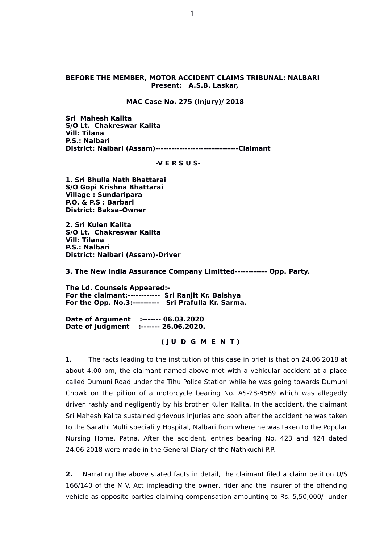#### **BEFORE THE MEMBER, MOTOR ACCIDENT CLAIMS TRIBUNAL: NALBARI Present: A.S.B. Laskar,**

#### **MAC Case No. 275 (Injury)/ 2018**

**Sri Mahesh Kalita S/O Lt. Chakreswar Kalita Vill: Tilana P.S.: Nalbari District: Nalbari (Assam)-------------------------------Claimant** 

#### **-V E R S U S-**

**1. Sri Bhulla Nath Bhattarai S/O Gopi Krishna Bhattarai Village : Sundaripara P.O. & P.S : Barbari District: Baksa–Owner**

**2. Sri Kulen Kalita S/O Lt. Chakreswar Kalita Vill: Tilana P.S.: Nalbari District: Nalbari (Assam)-Driver**

**3. The New India Assurance Company Limitted------------ Opp. Party.**

**The Ld. Counsels Appeared:- For the claimant:------------ Sri Ranjit Kr. Baishya For the Opp. No.3:---------- Sri Prafulla Kr. Sarma.**

**Date of Argument :------- 06.03.2020 Date of Judgment :------- 26.06.2020.**

 **( J U D G M E N T )**

**1.** The facts leading to the institution of this case in brief is that on 24.06.2018 at about 4.00 pm, the claimant named above met with a vehicular accident at a place called Dumuni Road under the Tihu Police Station while he was going towards Dumuni Chowk on the pillion of a motorcycle bearing No. AS-28-4569 which was allegedly driven rashly and negligently by his brother Kulen Kalita. In the accident, the claimant Sri Mahesh Kalita sustained grievous injuries and soon after the accident he was taken to the Sarathi Multi speciality Hospital, Nalbari from where he was taken to the Popular Nursing Home, Patna. After the accident, entries bearing No. 423 and 424 dated 24.06.2018 were made in the General Diary of the Nathkuchi P.P.

**2.** Narrating the above stated facts in detail, the claimant filed a claim petition U/S 166/140 of the M.V. Act impleading the owner, rider and the insurer of the offending vehicle as opposite parties claiming compensation amounting to Rs. 5,50,000/- under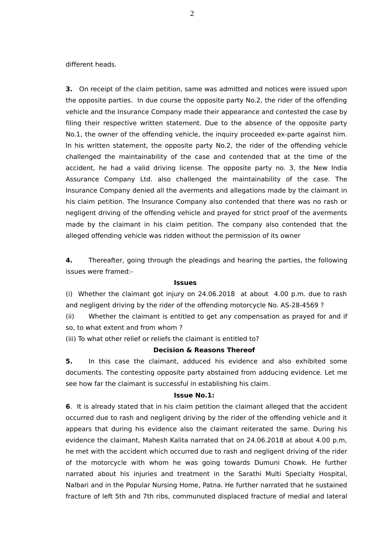different heads.

**3.** On receipt of the claim petition, same was admitted and notices were issued upon the opposite parties. In due course the opposite party No.2, the rider of the offending vehicle and the Insurance Company made their appearance and contested the case by filing their respective written statement. Due to the absence of the opposite party No.1, the owner of the offending vehicle, the inquiry proceeded ex-parte against him. In his written statement, the opposite party No.2, the rider of the offending vehicle challenged the maintainability of the case and contended that at the time of the accident, he had a valid driving license. The opposite party no. 3, the New India Assurance Company Ltd. also challenged the maintainability of the case. The Insurance Company denied all the averments and allegations made by the claimant in his claim petition. The Insurance Company also contended that there was no rash or negligent driving of the offending vehicle and prayed for strict proof of the averments made by the claimant in his claim petition. The company also contended that the alleged offending vehicle was ridden without the permission of its owner

**4.** Thereafter, going through the pleadings and hearing the parties, the following issues were framed:-

#### **Issues**

(i) Whether the claimant got injury on 24.06.2018 at about 4.00 p.m. due to rash and negligent driving by the rider of the offending motorcycle No. AS-28-4569 ?

(ii) Whether the claimant is entitled to get any compensation as prayed for and if so, to what extent and from whom ?

(iii) To what other relief or reliefs the claimant is entitled to?

### **Decision & Reasons Thereof**

**5.** In this case the claimant, adduced his evidence and also exhibited some documents. The contesting opposite party abstained from adducing evidence. Let me see how far the claimant is successful in establishing his claim.

### **Issue No.1:**

**6**. It is already stated that in his claim petition the claimant alleged that the accident occurred due to rash and negligent driving by the rider of the offending vehicle and it appears that during his evidence also the claimant reiterated the same. During his evidence the claimant, Mahesh Kalita narrated that on 24.06.2018 at about 4.00 p.m, he met with the accident which occurred due to rash and negligent driving of the rider of the motorcycle with whom he was going towards Dumuni Chowk. He further narrated about his injuries and treatment in the Sarathi Multi Specialty Hospital, Nalbari and in the Popular Nursing Home, Patna. He further narrated that he sustained fracture of left 5th and 7th ribs, communuted displaced fracture of medial and lateral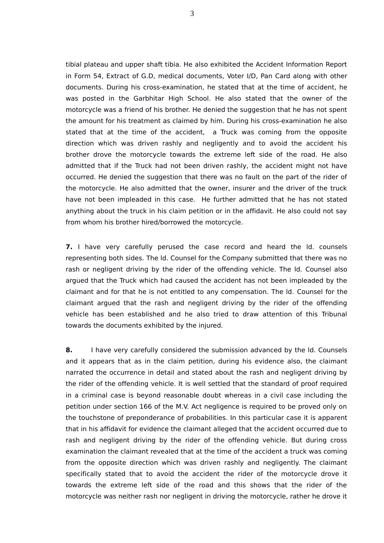tibial plateau and upper shaft tibia. He also exhibited the Accident Information Report in Form 54, Extract of G.D, medical documents, Voter I/D, Pan Card along with other documents. During his cross-examination, he stated that at the time of accident, he was posted in the Garbhitar High School. He also stated that the owner of the motorcycle was a friend of his brother. He denied the suggestion that he has not spent the amount for his treatment as claimed by him. During his cross-examination he also stated that at the time of the accident, a Truck was coming from the opposite direction which was driven rashly and negligently and to avoid the accident his brother drove the motorcycle towards the extreme left side of the road. He also admitted that if the Truck had not been driven rashly, the accident might not have occurred. He denied the suggestion that there was no fault on the part of the rider of the motorcycle. He also admitted that the owner, insurer and the driver of the truck have not been impleaded in this case. He further admitted that he has not stated anything about the truck in his claim petition or in the affidavit. He also could not say from whom his brother hired/borrowed the motorcycle.

**7.** I have very carefully perused the case record and heard the ld. counsels representing both sides. The ld. Counsel for the Company submitted that there was no rash or negligent driving by the rider of the offending vehicle. The ld. Counsel also argued that the Truck which had caused the accident has not been impleaded by the claimant and for that he is not entitled to any compensation. The ld. Counsel for the claimant argued that the rash and negligent driving by the rider of the offending vehicle has been established and he also tried to draw attention of this Tribunal towards the documents exhibited by the injured.

**8.** I have very carefully considered the submission advanced by the ld. Counsels and it appears that as in the claim petition, during his evidence also, the claimant narrated the occurrence in detail and stated about the rash and negligent driving by the rider of the offending vehicle. It is well settled that the standard of proof required in a criminal case is beyond reasonable doubt whereas in a civil case including the petition under section 166 of the M.V. Act negligence is required to be proved only on the touchstone of preponderance of probabilities. In this particular case it is apparent that in his affidavit for evidence the claimant alleged that the accident occurred due to rash and negligent driving by the rider of the offending vehicle. But during cross examination the claimant revealed that at the time of the accident a truck was coming from the opposite direction which was driven rashly and negligently. The claimant specifically stated that to avoid the accident the rider of the motorcycle drove it towards the extreme left side of the road and this shows that the rider of the motorcycle was neither rash nor negligent in driving the motorcycle, rather he drove it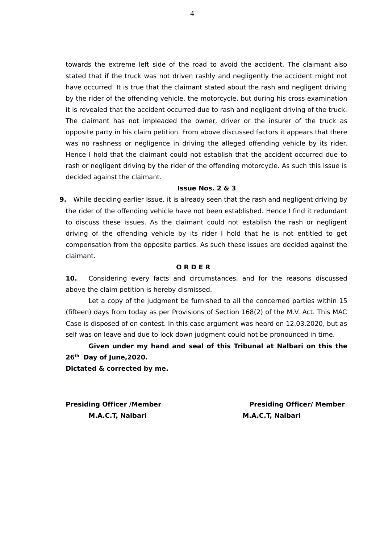towards the extreme left side of the road to avoid the accident. The claimant also stated that if the truck was not driven rashly and negligently the accident might not have occurred. It is true that the claimant stated about the rash and negligent driving by the rider of the offending vehicle, the motorcycle, but during his cross examination it is revealed that the accident occurred due to rash and negligent driving of the truck. The claimant has not impleaded the owner, driver or the insurer of the truck as opposite party in his claim petition. From above discussed factors it appears that there was no rashness or negligence in driving the alleged offending vehicle by its rider. Hence I hold that the claimant could not establish that the accident occurred due to rash or negligent driving by the rider of the offending motorcycle. As such this issue is decided against the claimant.

### **Issue Nos. 2 & 3**

**9.** While deciding earlier Issue, it is already seen that the rash and negligent driving by the rider of the offending vehicle have not been established. Hence I find it redundant to discuss these issues. As the claimant could not establish the rash or negligent driving of the offending vehicle by its rider I hold that he is not entitled to get compensation from the opposite parties. As such these issues are decided against the claimant.

# **O R D E R**

**10.** Considering every facts and circumstances, and for the reasons discussed above the claim petition is hereby dismissed.

Let a copy of the judgment be furnished to all the concerned parties within 15 (fifteen) days from today as per Provisions of Section 168(2) of the M.V. Act. This MAC Case is disposed of on contest. In this case argument was heard on 12.03.2020, but as self was on leave and due to lock down judgment could not be pronounced in time.

**Given under my hand and seal of this Tribunal at Nalbari on this the 26th Day of June,2020.** 

**Dictated & corrected by me.** 

**M.A.C.T, Nalbari M.A.C.T, Nalbari**

**Presiding Officer /Member New York Channel Presiding Officer/ Member**